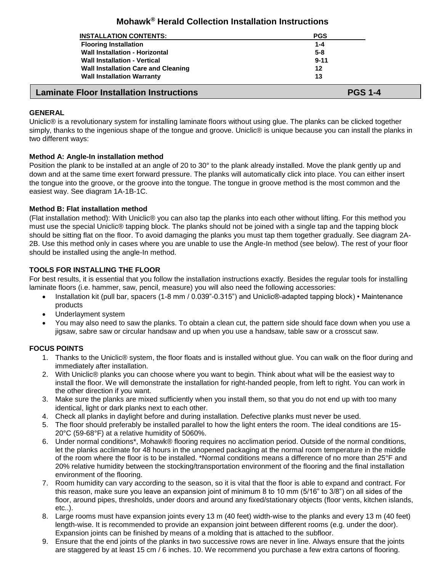# **Mohawk® Herald Collection Installation Instructions**

| <b>Laminate Floor Installation Instructions</b> | <b>PGS 1-4</b> |
|-------------------------------------------------|----------------|
| <b>Wall Installation Warranty</b>               | 13             |
| <b>Wall Installation Care and Cleaning</b>      | 12             |
| <b>Wall Installation - Vertical</b>             | $9 - 11$       |
| <b>Wall Installation - Horizontal</b>           | $5 - 8$        |
| <b>Flooring Installation</b>                    | $1 - 4$        |
| <b>INSTALLATION CONTENTS:</b>                   | <b>PGS</b>     |
|                                                 |                |

# **GENERAL**

Uniclic® is a revolutionary system for installing laminate floors without using glue. The planks can be clicked together simply, thanks to the ingenious shape of the tongue and groove. Uniclic® is unique because you can install the planks in two different ways:

# **Method A: Angle-In installation method**

Position the plank to be installed at an angle of 20 to 30° to the plank already installed. Move the plank gently up and down and at the same time exert forward pressure. The planks will automatically click into place. You can either insert the tongue into the groove, or the groove into the tongue. The tongue in groove method is the most common and the easiest way. See diagram 1A-1B-1C.

# **Method B: Flat installation method**

(Flat installation method): With Uniclic® you can also tap the planks into each other without lifting. For this method you must use the special Uniclic® tapping block. The planks should not be joined with a single tap and the tapping block should be sitting flat on the floor. To avoid damaging the planks you must tap them together gradually. See diagram 2A-2B. Use this method only in cases where you are unable to use the Angle-In method (see below). The rest of your floor should be installed using the angle-In method.

# **TOOLS FOR INSTALLING THE FLOOR**

For best results, it is essential that you follow the installation instructions exactly. Besides the regular tools for installing laminate floors (i.e. hammer, saw, pencil, measure) you will also need the following accessories:

- Installation kit (pull bar, spacers (1-8 mm / 0.039"-0.315") and Uniclic®-adapted tapping block) Maintenance products
- Underlayment system
- You may also need to saw the planks. To obtain a clean cut, the pattern side should face down when you use a jigsaw, sabre saw or circular handsaw and up when you use a handsaw, table saw or a crosscut saw.

# **FOCUS POINTS**

- 1. Thanks to the Uniclic® system, the floor floats and is installed without glue. You can walk on the floor during and immediately after installation.
- 2. With Uniclic® planks you can choose where you want to begin. Think about what will be the easiest way to install the floor. We will demonstrate the installation for right-handed people, from left to right. You can work in the other direction if you want.
- 3. Make sure the planks are mixed sufficiently when you install them, so that you do not end up with too many identical, light or dark planks next to each other.
- 4. Check all planks in daylight before and during installation. Defective planks must never be used.
- 5. The floor should preferably be installed parallel to how the light enters the room. The ideal conditions are 15- 20°C (59-68°F) at a relative humidity of 5060%.
- 6. Under normal conditions\*, Mohawk® flooring requires no acclimation period. Outside of the normal conditions, let the planks acclimate for 48 hours in the unopened packaging at the normal room temperature in the middle of the room where the floor is to be installed. \*Normal conditions means a difference of no more than 25°F and 20% relative humidity between the stocking/transportation environment of the flooring and the final installation environment of the flooring.
- 7. Room humidity can vary according to the season, so it is vital that the floor is able to expand and contract. For this reason, make sure you leave an expansion joint of minimum 8 to 10 mm (5/16" to 3/8") on all sides of the floor, around pipes, thresholds, under doors and around any fixed/stationary objects (floor vents, kitchen islands, etc..).
- 8. Large rooms must have expansion joints every 13 m (40 feet) width-wise to the planks and every 13 m (40 feet) length-wise. It is recommended to provide an expansion joint between different rooms (e.g. under the door). Expansion joints can be finished by means of a molding that is attached to the subfloor.
- 9. Ensure that the end joints of the planks in two successive rows are never in line. Always ensure that the joints are staggered by at least 15 cm / 6 inches. 10. We recommend you purchase a few extra cartons of flooring.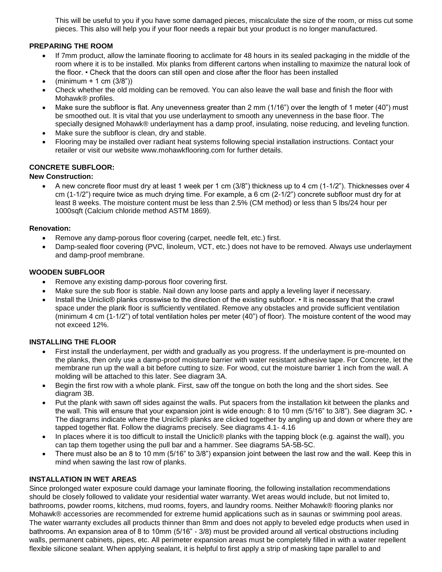This will be useful to you if you have some damaged pieces, miscalculate the size of the room, or miss cut some pieces. This also will help you if your floor needs a repair but your product is no longer manufactured.

## **PREPARING THE ROOM**

- If 7mm product, allow the laminate flooring to acclimate for 48 hours in its sealed packaging in the middle of the room where it is to be installed. Mix planks from different cartons when installing to maximize the natural look of the floor. • Check that the doors can still open and close after the floor has been installed
- $(minimum + 1 cm (3/8))$
- Check whether the old molding can be removed. You can also leave the wall base and finish the floor with Mohawk® profiles.
- Make sure the subfloor is flat. Any unevenness greater than 2 mm (1/16") over the length of 1 meter (40") must be smoothed out. It is vital that you use underlayment to smooth any unevenness in the base floor. The specially designed Mohawk® underlayment has a damp proof, insulating, noise reducing, and leveling function.
- Make sure the subfloor is clean, dry and stable.
- Flooring may be installed over radiant heat systems following special installation instructions. Contact your retailer or visit our website www.mohawkflooring.com for further details.

# **CONCRETE SUBFLOOR:**

### **New Construction:**

• A new concrete floor must dry at least 1 week per 1 cm  $(3/8)$  thickness up to 4 cm  $(1-1/2)$ . Thicknesses over 4 cm (1-1/2") require twice as much drying time. For example, a 6 cm (2-1/2") concrete subfloor must dry for at least 8 weeks. The moisture content must be less than 2.5% (CM method) or less than 5 lbs/24 hour per 1000sqft (Calcium chloride method ASTM 1869).

### **Renovation:**

- Remove any damp-porous floor covering (carpet, needle felt, etc.) first.
- Damp-sealed floor covering (PVC, linoleum, VCT, etc.) does not have to be removed. Always use underlayment and damp-proof membrane.

### **WOODEN SUBFLOOR**

- Remove any existing damp-porous floor covering first.
- Make sure the sub floor is stable. Nail down any loose parts and apply a leveling layer if necessary.
- Install the Uniclic® planks crosswise to the direction of the existing subfloor. It is necessary that the crawl space under the plank floor is sufficiently ventilated. Remove any obstacles and provide sufficient ventilation (minimum 4 cm (1-1/2") of total ventilation holes per meter (40") of floor). The moisture content of the wood may not exceed 12%.

# **INSTALLING THE FLOOR**

- First install the underlayment, per width and gradually as you progress. If the underlayment is pre-mounted on the planks, then only use a damp-proof moisture barrier with water resistant adhesive tape. For Concrete, let the membrane run up the wall a bit before cutting to size. For wood, cut the moisture barrier 1 inch from the wall. A molding will be attached to this later. See diagram 3A.
- Begin the first row with a whole plank. First, saw off the tongue on both the long and the short sides. See diagram 3B.
- Put the plank with sawn off sides against the walls. Put spacers from the installation kit between the planks and the wall. This will ensure that your expansion joint is wide enough: 8 to 10 mm (5/16" to 3/8"). See diagram 3C. • The diagrams indicate where the Uniclic® planks are clicked together by angling up and down or where they are tapped together flat. Follow the diagrams precisely. See diagrams 4.1- 4.16
- In places where it is too difficult to install the Uniclic® planks with the tapping block (e.g. against the wall), you can tap them together using the pull bar and a hammer. See diagrams 5A-5B-5C.
- There must also be an 8 to 10 mm (5/16" to 3/8") expansion joint between the last row and the wall. Keep this in mind when sawing the last row of planks.

### **INSTALLATION IN WET AREAS**

Since prolonged water exposure could damage your laminate flooring, the following installation recommendations should be closely followed to validate your residential water warranty. Wet areas would include, but not limited to, bathrooms, powder rooms, kitchens, mud rooms, foyers, and laundry rooms. Neither Mohawk® flooring planks nor Mohawk® accessories are recommended for extreme humid applications such as in saunas or swimming pool areas. The water warranty excludes all products thinner than 8mm and does not apply to beveled edge products when used in bathrooms. An expansion area of 8 to 10mm (5/16" - 3/8) must be provided around all vertical obstructions including walls, permanent cabinets, pipes, etc. All perimeter expansion areas must be completely filled in with a water repellent flexible silicone sealant. When applying sealant, it is helpful to first apply a strip of masking tape parallel to and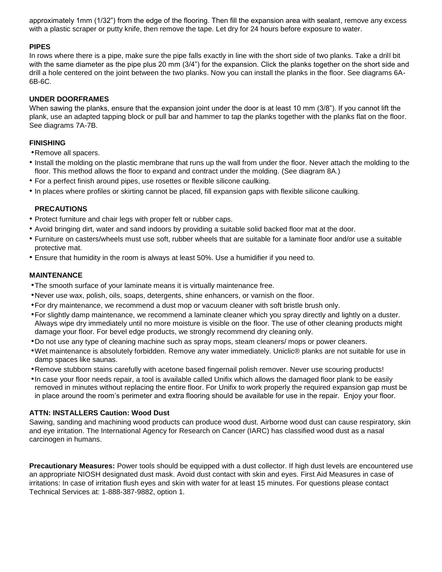approximately 1mm (1/32") from the edge of the flooring. Then fill the expansion area with sealant, remove any excess with a plastic scraper or putty knife, then remove the tape. Let dry for 24 hours before exposure to water.

## **PIPES**

In rows where there is a pipe, make sure the pipe falls exactly in line with the short side of two planks. Take a drill bit with the same diameter as the pipe plus 20 mm (3/4") for the expansion. Click the planks together on the short side and drill a hole centered on the joint between the two planks. Now you can install the planks in the floor. See diagrams 6A-6B-6C.

## **UNDER DOORFRAMES**

When sawing the planks, ensure that the expansion joint under the door is at least 10 mm (3/8"). If you cannot lift the plank, use an adapted tapping block or pull bar and hammer to tap the planks together with the planks flat on the floor. See diagrams 7A-7B.

## **FINISHING**

•Remove all spacers.

- Install the molding on the plastic membrane that runs up the wall from under the floor. Never attach the molding to the floor. This method allows the floor to expand and contract under the molding. (See diagram 8A.)
- For a perfect finish around pipes, use rosettes or flexible silicone caulking.
- In places where profiles or skirting cannot be placed, fill expansion gaps with flexible silicone caulking.

# **PRECAUTIONS**

- Protect furniture and chair legs with proper felt or rubber caps.
- Avoid bringing dirt, water and sand indoors by providing a suitable solid backed floor mat at the door.
- Furniture on casters/wheels must use soft, rubber wheels that are suitable for a laminate floor and/or use a suitable protective mat.
- Ensure that humidity in the room is always at least 50%. Use a humidifier if you need to.

### **MAINTENANCE**

- •The smooth surface of your laminate means it is virtually maintenance free.
- •Never use wax, polish, oils, soaps, detergents, shine enhancers, or varnish on the floor.
- •For dry maintenance, we recommend a dust mop or vacuum cleaner with soft bristle brush only.
- •For slightly damp maintenance, we recommend a laminate cleaner which you spray directly and lightly on a duster. Always wipe dry immediately until no more moisture is visible on the floor. The use of other cleaning products might damage your floor. For bevel edge products, we strongly recommend dry cleaning only.
- •Do not use any type of cleaning machine such as spray mops, steam cleaners/ mops or power cleaners.
- •Wet maintenance is absolutely forbidden. Remove any water immediately. Uniclic® planks are not suitable for use in damp spaces like saunas.
- •Remove stubborn stains carefully with acetone based fingernail polish remover. Never use scouring products!
- •In case your floor needs repair, a tool is available called Unifix which allows the damaged floor plank to be easily removed in minutes without replacing the entire floor. For Unifix to work properly the required expansion gap must be in place around the room's perimeter and extra flooring should be available for use in the repair. Enjoy your floor.

# **ATTN: INSTALLERS Caution: Wood Dust**

Sawing, sanding and machining wood products can produce wood dust. Airborne wood dust can cause respiratory, skin and eye irritation. The International Agency for Research on Cancer (IARC) has classified wood dust as a nasal carcinogen in humans.

**Precautionary Measures:** Power tools should be equipped with a dust collector. If high dust levels are encountered use an appropriate NIOSH designated dust mask. Avoid dust contact with skin and eyes. First Aid Measures in case of irritations: In case of irritation flush eyes and skin with water for at least 15 minutes. For questions please contact Technical Services at: 1-888-387-9882, option 1.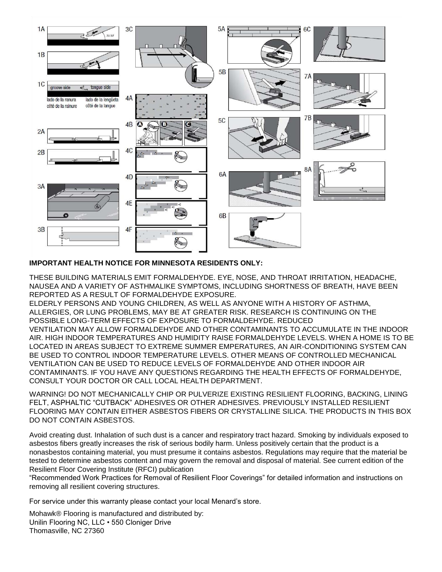

# **IMPORTANT HEALTH NOTICE FOR MINNESOTA RESIDENTS ONLY:**

THESE BUILDING MATERIALS EMIT FORMALDEHYDE. EYE, NOSE, AND THROAT IRRITATION, HEADACHE, NAUSEA AND A VARIETY OF ASTHMALIKE SYMPTOMS, INCLUDING SHORTNESS OF BREATH, HAVE BEEN REPORTED AS A RESULT OF FORMALDEHYDE EXPOSURE.

ELDERLY PERSONS AND YOUNG CHILDREN, AS WELL AS ANYONE WITH A HISTORY OF ASTHMA, ALLERGIES, OR LUNG PROBLEMS, MAY BE AT GREATER RISK. RESEARCH IS CONTINUING ON THE POSSIBLE LONG-TERM EFFECTS OF EXPOSURE TO FORMALDEHYDE. REDUCED

VENTILATION MAY ALLOW FORMALDEHYDE AND OTHER CONTAMINANTS TO ACCUMULATE IN THE INDOOR AIR. HIGH INDOOR TEMPERATURES AND HUMIDITY RAISE FORMALDEHYDE LEVELS. WHEN A HOME IS TO BE LOCATED IN AREAS SUBJECT TO EXTREME SUMMER EMPERATURES, AN AIR-CONDITIONING SYSTEM CAN BE USED TO CONTROL INDOOR TEMPERATURE LEVELS. OTHER MEANS OF CONTROLLED MECHANICAL VENTILATION CAN BE USED TO REDUCE LEVELS OF FORMALDEHYDE AND OTHER INDOOR AIR CONTAMINANTS. IF YOU HAVE ANY QUESTIONS REGARDING THE HEALTH EFFECTS OF FORMALDEHYDE, CONSULT YOUR DOCTOR OR CALL LOCAL HEALTH DEPARTMENT.

WARNING! DO NOT MECHANICALLY CHIP OR PULVERIZE EXISTING RESILIENT FLOORING, BACKING, LINING FELT, ASPHALTIC "CUTBACK" ADHESIVES OR OTHER ADHESIVES. PREVIOUSLY INSTALLED RESILIENT FLOORING MAY CONTAIN EITHER ASBESTOS FIBERS OR CRYSTALLINE SILICA. THE PRODUCTS IN THIS BOX DO NOT CONTAIN ASBESTOS.

Avoid creating dust. Inhalation of such dust is a cancer and respiratory tract hazard. Smoking by individuals exposed to asbestos fibers greatly increases the risk of serious bodily harm. Unless positively certain that the product is a nonasbestos containing material, you must presume it contains asbestos. Regulations may require that the material be tested to determine asbestos content and may govern the removal and disposal of material. See current edition of the Resilient Floor Covering Institute (RFCI) publication

"Recommended Work Practices for Removal of Resilient Floor Coverings" for detailed information and instructions on removing all resilient covering structures.

For service under this warranty please contact your local Menard's store.

Mohawk® Flooring is manufactured and distributed by: Unilin Flooring NC, LLC • 550 Cloniger Drive Thomasville, NC 27360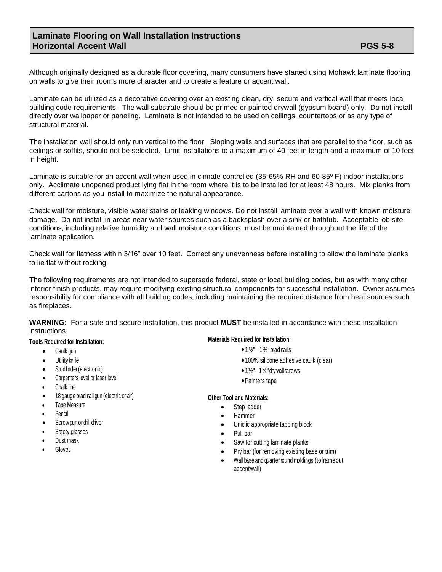# **Laminate Flooring on Wall Installation Instructions Horizontal Accent Wall PGS 5-8**

Although originally designed as a durable floor covering, many consumers have started using Mohawk laminate flooring on walls to give their rooms more character and to create a feature or accent wall.

Laminate can be utilized as a decorative covering over an existing clean, dry, secure and vertical wall that meets local building code requirements. The wall substrate should be primed or painted drywall (gypsum board) only. Do not install directly over wallpaper or paneling. Laminate is not intended to be used on ceilings, countertops or as any type of structural material.

The installation wall should only run vertical to the floor. Sloping walls and surfaces that are parallel to the floor, such as ceilings or soffits, should not be selected. Limit installations to a maximum of 40 feet in length and a maximum of 10 feet in height.

Laminate is suitable for an accent wall when used in climate controlled (35-65% RH and 60-85° F) indoor installations only. Acclimate unopened product lying flat in the room where it is to be installed for at least 48 hours. Mix planks from different cartons as you install to maximize the natural appearance.

Check wall for moisture, visible water stains or leaking windows. Do not install laminate over a wall with known moisture damage. Do not install in areas near water sources such as a backsplash over a sink or bathtub. Acceptable job site conditions, including relative humidity and wall moisture conditions, must be maintained throughout the life of the laminate application.

Check wall for flatness within 3/16" over 10 feet. Correct any unevenness before installing to allow the laminate planks to lie flat without rocking.

The following requirements are not intended to supersede federal, state or local building codes, but as with many other interior finish products, may require modifying existing structural components for successful installation. Owner assumes responsibility for compliance with all building codes, including maintaining the required distance from heat sources such as fireplaces.

**WARNING:** For a safe and secure installation, this product **MUST** be installed in accordance with these installation instructions.

### **Tools Required for Installation:**

- Caulk gun
- Utility knife
- Studfnder (electronic)
- Carpenters level or laser level
- Chalk line
- <sup>18</sup> gauge brad nail gun (electric or air)
- Tape Measure
- Pencil
- Screw gun or drill driver
- Safety glasses
- Dust mask
- **Gloves**

### **Materials Required for Installation:**

- $1\frac{1}{2}$ "  $1\frac{3}{4}$ " brad nails
- •100% silicone adhesive caulk (clear)
- $\bullet$  1 $\frac{1}{2}$ " 1 $\frac{3}{4}$ " drywallscrews
- •Painters tape

### **Other Tool and Materials:**

- Step ladder
- Hammer
- Uniclic appropriate tapping block
- Pull bar
- Saw for cutting laminate planks
- Pry bar (for removing existing base or trim)
- Wall base and quarter round moldings (toframeout accentwall)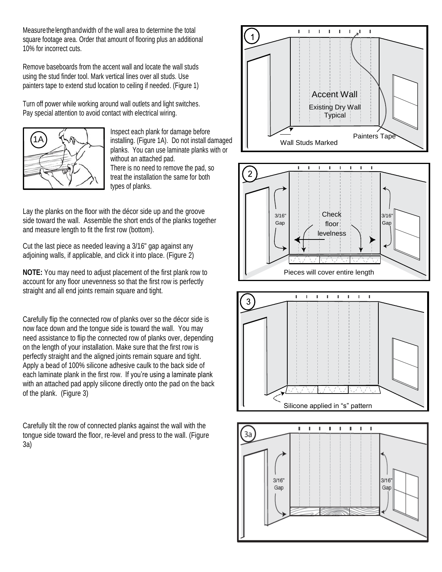Measurethelengthandwidth of the wall area to determine the total square footage area. Order that amount of flooring plus an additional 10% for incorrect cuts.

Remove baseboards from the accent wall and locate the wall studs using the stud finder tool. Mark vertical lines over all studs. Use painters tape to extend stud location to ceiling if needed. (Figure 1)

Turn off power while working around wall outlets and light switches. Pay special attention to avoid contact with electrical wiring.



Inspect each plank for damage before installing. (Figure 1A). Do not install damaged planks. You can use laminate planks with or without an attached pad. There is no need to remove the pad, so treat the installation the same for both types of planks.

Lay the planks on the floor with the décor side up and the groove side toward the wall. Assemble the short ends of the planks together and measure length to fit the first row (bottom).

Cut the last piece as needed leaving a 3/16" gap against any adjoining walls, if applicable, and click it into place. (Figure 2)

**NOTE:** You may need to adjust placement of the first plank row to account for any floor unevenness so that the first row is perfectly straight and all end joints remain square and tight.

Carefully flip the connected row of planks over so the décor side is now face down and the tongue side is toward the wall. You may need assistance to flip the connected row of planks over, depending on the length of your installation. Make sure that the first row is perfectly straight and the aligned joints remain square and tight. Apply a bead of 100% silicone adhesive caulk to the back side of each laminate plank in the first row. If you're using a laminate plank with an attached pad apply silicone directly onto the pad on the back of the plank. (Figure 3)

Carefully tilt the row of connected planks against the wall with the tongue side toward the floor, re-level and press to the wall. (Figure 3a)







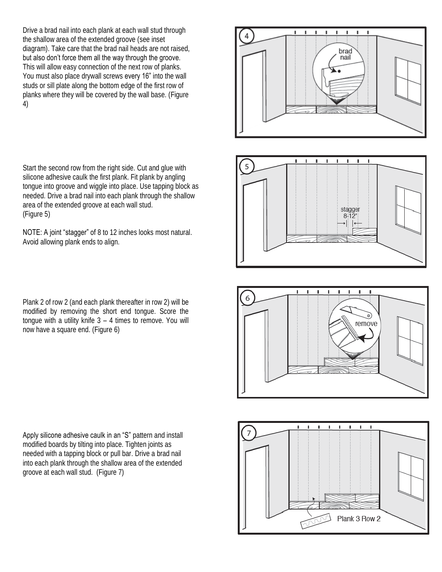Drive a brad nail into each plank at each wall stud through the shallow area of the extended groove (see inset diagram). Take care that the brad nail heads are not raised, but also don't force them all the way through the groove. This will allow easy connection of the next row of planks. You must also place drywall screws every 16" into the wall studs or sill plate along the bottom edge of the first row of planks where they will be covered by the wall base. (Figure 4)

Start the second row from the right side. Cut and glue with silicone adhesive caulk the first plank. Fit plank by angling tongue into groove and wiggle into place. Use tapping block as needed. Drive a brad nail into each plank through the shallow area of the extended groove at each wall stud. (Figure 5)

NOTE: A joint "stagger" of 8 to 12 inches looks most natural. Avoid allowing plank ends to align.

Plank 2 of row 2 (and each plank thereafter in row 2) will be modified by removing the short end tongue. Score the tongue with a utility knife  $3 - 4$  times to remove. You will now have a square end. (Figure 6)

Apply silicone adhesive caulk in an "S" pattern and install modified boards by tilting into place. Tighten joints as needed with a tapping block or pull bar. Drive a brad nail into each plank through the shallow area of the extended groove at each wall stud. (Figure 7)







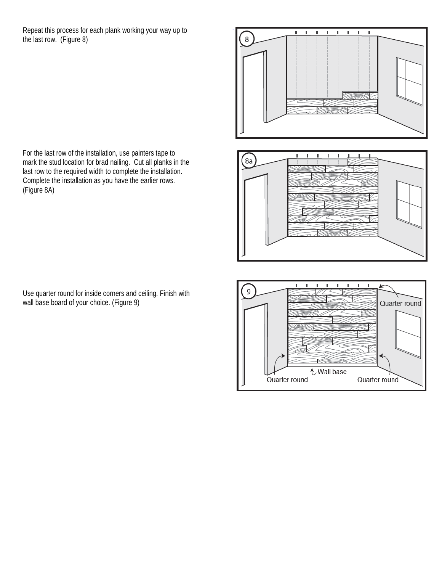Repeat this process for each plank working your way up to the last row. (Figure 8)



× n,  $\left(8a\right)$ 



For the last row of the installation, use painters tape to mark the stud location for brad nailing. Cut all planks in the last row to the required width to complete the installation. Complete the installation as you have the earlier rows. (Figure 8A)

Use quarter round for inside corners and ceiling. Finish with wall base board of your choice. (Figure 9)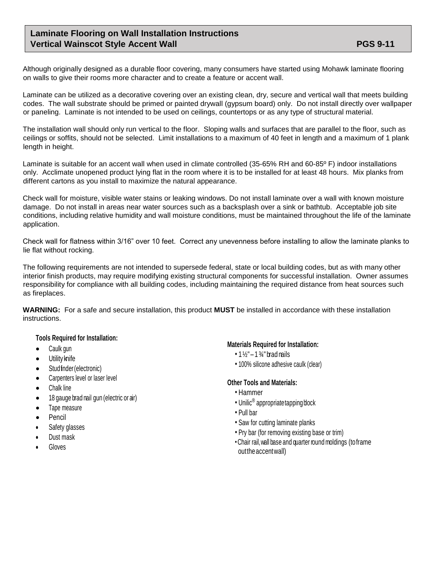# **Laminate Flooring on Wall Installation Instructions Vertical Wainscot Style Accent Wall PGS 9-11 PGS 9-11**

Although originally designed as a durable floor covering, many consumers have started using Mohawk laminate flooring on walls to give their rooms more character and to create a feature or accent wall.

Laminate can be utilized as a decorative covering over an existing clean, dry, secure and vertical wall that meets building codes. The wall substrate should be primed or painted drywall (gypsum board) only. Do not install directly over wallpaper or paneling. Laminate is not intended to be used on ceilings, countertops or as any type of structural material.

The installation wall should only run vertical to the floor. Sloping walls and surfaces that are parallel to the floor, such as ceilings or soffits, should not be selected. Limit installations to a maximum of 40 feet in length and a maximum of 1 plank length in height.

Laminate is suitable for an accent wall when used in climate controlled (35-65% RH and 60-85° F) indoor installations only. Acclimate unopened product lying flat in the room where it is to be installed for at least 48 hours. Mix planks from different cartons as you install to maximize the natural appearance.

Check wall for moisture, visible water stains or leaking windows. Do not install laminate over a wall with known moisture damage. Do not install in areas near water sources such as a backsplash over a sink or bathtub. Acceptable job site conditions, including relative humidity and wall moisture conditions, must be maintained throughout the life of the laminate application.

Check wall for flatness within 3/16" over 10 feet. Correct any unevenness before installing to allow the laminate planks to lie flat without rocking.

The following requirements are not intended to supersede federal, state or local building codes, but as with many other interior finish products, may require modifying existing structural components for successful installation. Owner assumes responsibility for compliance with all building codes, including maintaining the required distance from heat sources such as fireplaces.

**WARNING:** For a safe and secure installation, this product **MUST** be installed in accordance with these installation instructions.

# **Tools Required for Installation:**

- Caulk gun
- Utility knife
- Stud finder (electronic)
- Carpenters level or laser level
- Chalk line
- <sup>18</sup> gauge brad nail gun (electric or air)
- Tape measure
- **Pencil**
- Safety glasses
- Dust mask
- Gloves

### **Materials Required for Installation:**

- $1\frac{1}{2}$ "  $1\frac{3}{4}$ " brad nails
- 100% silicone adhesive caulk (clear)

### **Other Tools and Materials:**

- Hammer
- Unilic<sup>®</sup> appropriate tapping block
- Pull bar
- Saw for cutting laminate planks
- Pry bar (for removing existing base or trim)
- •Chair rail,wall base and quarter round moldings (toframe outtheaccentwall)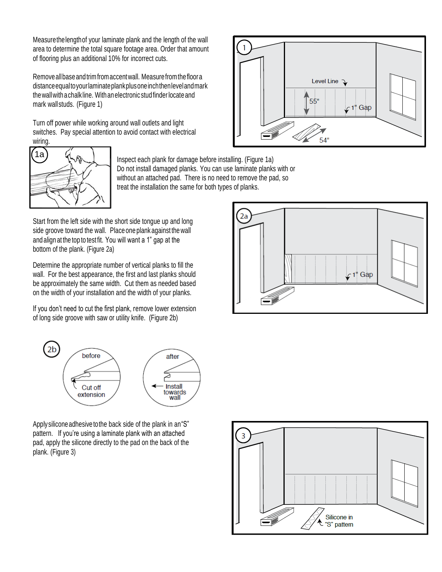Measurethelengthof your laminate plank and the length of the wall area to determine the total square footage area. Order that amount of flooring plus an additional 10% for incorrect cuts.

Removeallbaseandtrimfromaccentwall. Measurefromthefloora distanceequaltoyourlaminateplankplusoneinchthenlevelandmark the wall with a chalk line. With an electronic stud finder locate and mark wallstuds. (Figure 1)

Turn off power while working around wall outlets and light switches. Pay special attention to avoid contact with electrical wiring.





Inspect each plank for damage before installing. (Figure 1a) Do not install damaged planks. You can use laminate planks with or without an attached pad. There is no need to remove the pad, so treat the installation the same for both types of planks.

Start from the left side with the short side tongue up and long side groove toward the wall. Place one plank against the wall and align at the top to test fit. You will want a 1" gap at the bottom of the plank. (Figure 2a)

Determine the appropriate number of vertical planks to fill the wall. For the best appearance, the first and last planks should be approximately the same width. Cut them as needed based on the width of your installation and the width of your planks.

If you don't need to cut the first plank, remove lower extension of long side groove with saw or utility knife. (Figure 2b)



Apply silicone adhesive to the back side of the plank in an "S" pattern. If you're using a laminate plank with an attached pad, apply the silicone directly to the pad on the back of the plank. (Figure 3)



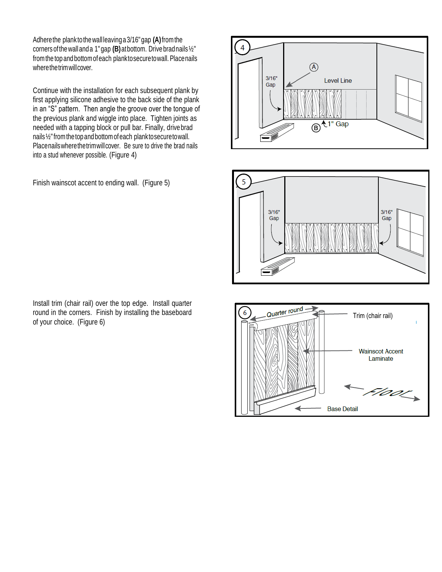Adherethe plank to thewall leavinga3/16"gap **(A)**fromthe corners ofthewalland a 1"gap **(B)**atbottom. Drive bradnails½" fromthe top and bottom ofeach planktosecuretowall. Placenails wherethetrimwillcover.

Continue with the installation for each subsequent plank by first applying silicone adhesive to the back side of the plank in an "S" pattern. Then angle the groove over the tongue of the previous plank and wiggle into place. Tighten joints as needed with a tapping block or pull bar. Finally, drive brad nails ½"from thetopandbottom ofeach planktosecuretowall. Placenailswherethetrimwillcover. Be sure to drive the brad nails into a stud whenever possible. (Figure 4)

Finish wainscot accent to ending wall. (Figure 5)

Install trim (chair rail) over the top edge. Install quarter round in the corners. Finish by installing the baseboard of your choice. (Figure 6)





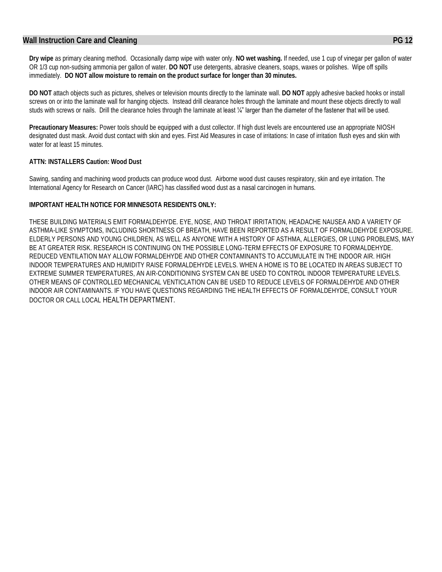## **Wall Instruction Care and Cleaning PG 12**

**Dry wipe** as primary cleaning method. Occasionally damp wipe with water only. **NO wet washing.** If needed, use 1 cup of vinegar per gallon of water OR 1/3 cup non-sudsing ammonia per gallon of water. **DO NOT** use detergents, abrasive cleaners, soaps, waxes or polishes. Wipe off spills immediately. **DO NOT allow moisture to remain on the product surface for longer than 30 minutes.**

**DO NOT** attach objects such as pictures, shelves or television mounts directly to the laminate wall. **DO NOT** apply adhesive backed hooks or install screws on or into the laminate wall for hanging objects. Instead drill clearance holes through the laminate and mount these objects directly to wall studs with screws or nails. Drill the clearance holes through the laminate at least ¼" larger than the diameter of the fastener that will be used.

**Precautionary Measures:** Power tools should be equipped with a dust collector. If high dust levels are encountered use an appropriate NIOSH designated dust mask. Avoid dust contact with skin and eyes. First Aid Measures in case of irritations: In case of irritation flush eyes and skin with water for at least 15 minutes.

### **ATTN: INSTALLERS Caution: Wood Dust**

Sawing, sanding and machining wood products can produce wood dust. Airborne wood dust causes respiratory, skin and eye irritation. The International Agency for Research on Cancer (IARC) has classified wood dust as a nasal carcinogen in humans.

### **IMPORTANT HEALTH NOTICE FOR MINNESOTA RESIDENTS ONLY:**

THESE BUILDING MATERIALS EMIT FORMALDEHYDE. EYE, NOSE, AND THROAT IRRITATION, HEADACHE NAUSEA AND A VARIETY OF ASTHMA-LIKE SYMPTOMS, INCLUDING SHORTNESS OF BREATH, HAVE BEEN REPORTED AS A RESULT OF FORMALDEHYDE EXPOSURE. ELDERLY PERSONS AND YOUNG CHILDREN, AS WELL AS ANYONE WITH A HISTORY OF ASTHMA, ALLERGIES, OR LUNG PROBLEMS, MAY BE AT GREATER RISK. RESEARCH IS CONTINUING ON THE POSSIBLE LONG-TERM EFFECTS OF EXPOSURE TO FORMALDEHYDE. REDUCED VENTILATION MAY ALLOW FORMALDEHYDE AND OTHER CONTAMINANTS TO ACCUMULATE IN THE INDOOR AIR. HIGH INDOOR TEMPERATURES AND HUMIDITY RAISE FORMALDEHYDE LEVELS. WHEN A HOME IS TO BE LOCATED IN AREAS SUBJECT TO EXTREME SUMMER TEMPERATURES, AN AIR-CONDITIONING SYSTEM CAN BE USED TO CONTROL INDOOR TEMPERATURE LEVELS. OTHER MEANS OF CONTROLLED MECHANICAL VENTICLATION CAN BE USED TO REDUCE LEVELS OF FORMALDEHYDE AND OTHER INDOOR AIR CONTAMINANTS. IF YOU HAVE QUESTIONS REGARDING THE HEALTH EFFECTS OF FORMALDEHYDE, CONSULT YOUR DOCTOR OR CALL LOCAL HEALTH DEPARTMENT.